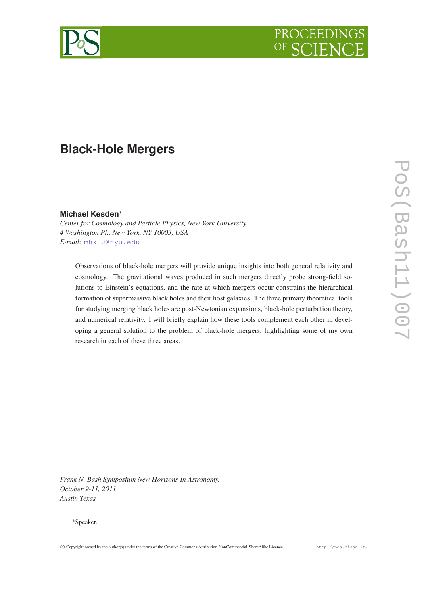

# **Black-Hole Mergers**

## **Michael Kesden**<sup>∗</sup>

*Center for Cosmology and Particle Physics, New York University 4 Washington Pl., New York, NY 10003, USA E-mail:* [mhk10@nyu.edu](mailto:mhk10@nyu.edu)

Observations of black-hole mergers will provide unique insights into both general relativity and cosmology. The gravitational waves produced in such mergers directly probe strong-field solutions to Einstein's equations, and the rate at which mergers occur constrains the hierarchical formation of supermassive black holes and their host galaxies. The three primary theoretical tools for studying merging black holes are post-Newtonian expansions, black-hole perturbation theory, and numerical relativity. I will briefly explain how these tools complement each other in developing a general solution to the problem of black-hole mergers, highlighting some of my own research in each of these three areas.

*Frank N. Bash Symposium New Horizons In Astronomy, October 9-11, 2011 Austin Texas*

#### <sup>∗</sup>Speaker.

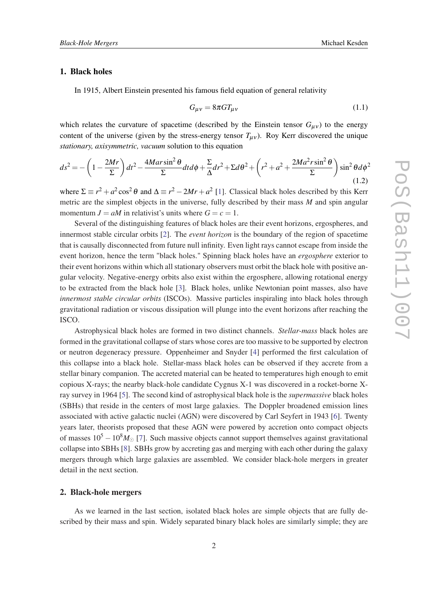## <span id="page-1-0"></span>1. Black holes

In 1915, Albert Einstein presented his famous field equation of general relativity

$$
G_{\mu\nu} = 8\pi G T_{\mu\nu} \tag{1.1}
$$

which relates the curvature of spacetime (described by the Einstein tensor  $G_{\mu\nu}$ ) to the energy content of the universe (given by the stress-energy tensor  $T_{\mu\nu}$ ). Roy Kerr discovered the unique *stationary, axisymmetric, vacuum* solution to this equation

$$
ds^{2} = -\left(1 - \frac{2Mr}{\Sigma}\right)dt^{2} - \frac{4Mar\sin^{2}\theta}{\Sigma}dt d\phi + \frac{\Sigma}{\Delta}dr^{2} + \Sigma d\theta^{2} + \left(r^{2} + a^{2} + \frac{2Ma^{2}r\sin^{2}\theta}{\Sigma}\right)\sin^{2}\theta d\phi^{2}
$$
\n(1.2)

where  $\Sigma \equiv r^2 + a^2 \cos^2 \theta$  and  $\Delta \equiv r^2 - 2Mr + a^2$  [\[1\]](#page-12-0). Classical black holes described by this Kerr metric are the simplest objects in the universe, fully described by their mass *M* and spin angular momentum  $J = aM$  in relativist's units where  $G = c = 1$ .

Several of the distinguishing features of black holes are their event horizons, ergospheres, and innermost stable circular orbits [[2](#page-12-0)]. The *event horizon* is the boundary of the region of spacetime that is causally disconnected from future null infinity. Even light rays cannot escape from inside the event horizon, hence the term "black holes." Spinning black holes have an *ergosphere* exterior to their event horizons within which all stationary observers must orbit the black hole with positive angular velocity. Negative-energy orbits also exist within the ergosphere, allowing rotational energy to be extracted from the black hole [\[3\]](#page-12-0). Black holes, unlike Newtonian point masses, also have *innermost stable circular orbits* (ISCOs). Massive particles inspiraling into black holes through gravitational radiation or viscous dissipation will plunge into the event horizons after reaching the ISCO.

Astrophysical black holes are formed in two distinct channels. *Stellar-mass* black holes are formed in the gravitational collapse of stars whose cores are too massive to be supported by electron or neutron degeneracy pressure. Oppenheimer and Snyder [[4](#page-12-0)] performed the first calculation of this collapse into a black hole. Stellar-mass black holes can be observed if they accrete from a stellar binary companion. The accreted material can be heated to temperatures high enough to emit copious X-rays; the nearby black-hole candidate Cygnus X-1 was discovered in a rocket-borne Xray survey in 1964 [\[5\]](#page-12-0). The second kind of astrophysical black hole is the *supermassive* black holes (SBHs) that reside in the centers of most large galaxies. The Doppler broadened emission lines associated with active galactic nuclei (AGN) were discovered by Carl Seyfert in 1943 [\[6](#page-12-0)]. Twenty years later, theorists proposed that these AGN were powered by accretion onto compact objects of masses  $10^5 - 10^8 M_{\odot}$  [\[7\]](#page-12-0). Such massive objects cannot support themselves against gravitational collapse into SBHs [[8](#page-12-0)]. SBHs grow by accreting gas and merging with each other during the galaxy mergers through which large galaxies are assembled. We consider black-hole mergers in greater detail in the next section.

## 2. Black-hole mergers

As we learned in the last section, isolated black holes are simple objects that are fully described by their mass and spin. Widely separated binary black holes are similarly simple; they are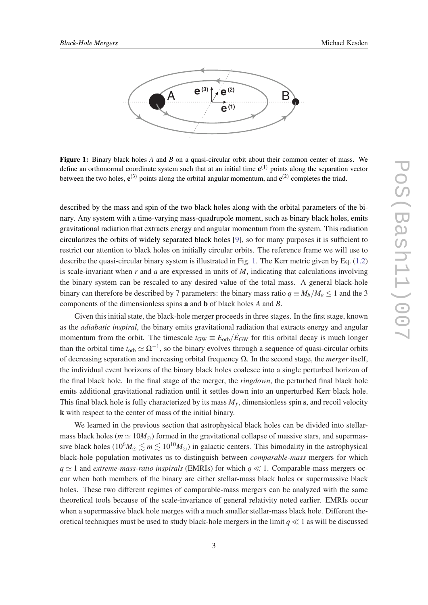<span id="page-2-0"></span>

Figure 1: Binary black holes *A* and *B* on a quasi-circular orbit about their common center of mass. We define an orthonormal coordinate system such that at an initial time  $e^{(1)}$  points along the separation vector between the two holes,  $e^{(3)}$  points along the orbital angular momentum, and  $e^{(2)}$  completes the triad.

described by the mass and spin of the two black holes along with the orbital parameters of the binary. Any system with a time-varying mass-quadrupole moment, such as binary black holes, emits gravitational radiation that extracts energy and angular momentum from the system. This radiation circularizes the orbits of widely separated black holes [\[9\]](#page-12-0), so for many purposes it is sufficient to restrict our attention to black holes on initially circular orbits. The reference frame we will use to describe the quasi-circular binary system is illustrated in Fig. 1. The Kerr metric given by Eq. ([1.2](#page-1-0)) is scale-invariant when *r* and *a* are expressed in units of *M*, indicating that calculations involving the binary system can be rescaled to any desired value of the total mass. A general black-hole binary can therefore be described by 7 parameters: the binary mass ratio  $q \equiv M_b/M_a \leq 1$  and the 3 components of the dimensionless spins a and b of black holes *A* and *B*.

Given this initial state, the black-hole merger proceeds in three stages. In the first stage, known as the *adiabatic inspiral*, the binary emits gravitational radiation that extracts energy and angular momentum from the orbit. The timescale  $t_{GW} \equiv E_{orb}/\dot{E}_{GW}$  for this orbital decay is much longer than the orbital time  $t_{\rm orb} \simeq \Omega^{-1}$ , so the binary evolves through a sequence of quasi-circular orbits of decreasing separation and increasing orbital frequency Ω. In the second stage, the *merger* itself, the individual event horizons of the binary black holes coalesce into a single perturbed horizon of the final black hole. In the final stage of the merger, the *ringdown*, the perturbed final black hole emits additional gravitational radiation until it settles down into an unperturbed Kerr black hole. This final black hole is fully characterized by its mass *M<sup>f</sup>* , dimensionless spin s, and recoil velocity k with respect to the center of mass of the initial binary.

We learned in the previous section that astrophysical black holes can be divided into stellarmass black holes ( $m \approx 10 M_{\odot}$ ) formed in the gravitational collapse of massive stars, and supermassive black holes ( $10^6 M_{\odot} \le m \le 10^{10} M_{\odot}$ ) in galactic centers. This bimodality in the astrophysical black-hole population motivates us to distinguish between *comparable-mass* mergers for which  $q \simeq 1$  and *extreme-mass-ratio inspirals* (EMRIs) for which  $q \ll 1$ . Comparable-mass mergers occur when both members of the binary are either stellar-mass black holes or supermassive black holes. These two different regimes of comparable-mass mergers can be analyzed with the same theoretical tools because of the scale-invariance of general relativity noted earlier. EMRIs occur when a supermassive black hole merges with a much smaller stellar-mass black hole. Different theoretical techniques must be used to study black-hole mergers in the limit  $q \ll 1$  as will be discussed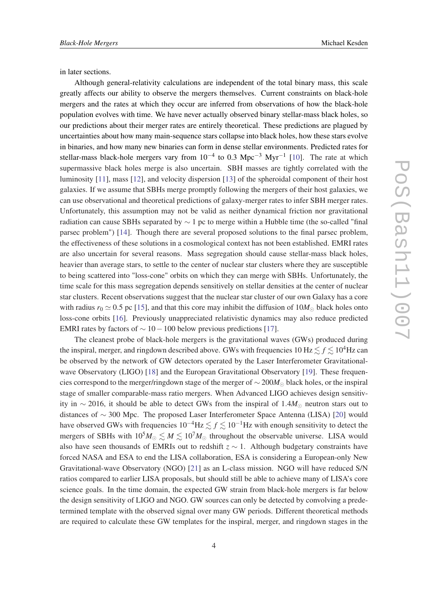in later sections.

Although general-relativity calculations are independent of the total binary mass, this scale greatly affects our ability to observe the mergers themselves. Current constraints on black-hole mergers and the rates at which they occur are inferred from observations of how the black-hole population evolves with time. We have never actually observed binary stellar-mass black holes, so our predictions about their merger rates are entirely theoretical. These predictions are plagued by uncertainties about how many main-sequence stars collapse into black holes, how these stars evolve in binaries, and how many new binaries can form in dense stellar environments. Predicted rates for stellar-mass black-hole mergers vary from  $10^{-4}$  to 0.3 Mpc<sup>-3</sup> Myr<sup>-1</sup> [\[10](#page-12-0)]. The rate at which supermassive black holes merge is also uncertain. SBH masses are tightly correlated with the luminosity [[11](#page-12-0)], mass [\[12](#page-12-0)], and velocity dispersion [\[13](#page-12-0)] of the spheroidal component of their host galaxies. If we assume that SBHs merge promptly following the mergers of their host galaxies, we can use observational and theoretical predictions of galaxy-merger rates to infer SBH merger rates. Unfortunately, this assumption may not be valid as neither dynamical friction nor gravitational radiation can cause SBHs separated by  $\sim 1$  pc to merge within a Hubble time (the so-called "final parsec problem") [\[14](#page-12-0)]. Though there are several proposed solutions to the final parsec problem, the effectiveness of these solutions in a cosmological context has not been established. EMRI rates are also uncertain for several reasons. Mass segregation should cause stellar-mass black holes, heavier than average stars, to settle to the center of nuclear star clusters where they are susceptible to being scattered into "loss-cone" orbits on which they can merge with SBHs. Unfortunately, the time scale for this mass segregation depends sensitively on stellar densities at the center of nuclear star clusters. Recent observations suggest that the nuclear star cluster of our own Galaxy has a core with radius  $r_0 \approx 0.5$  pc [[15](#page-12-0)], and that this core may inhibit the diffusion of  $10M_{\odot}$  black holes onto loss-cone orbits [[16](#page-12-0)]. Previously unappreciated relativistic dynamics may also reduce predicted EMRI rates by factors of  $\sim 10 - 100$  below previous predictions [[17\]](#page-12-0).

The cleanest probe of black-hole mergers is the gravitational waves (GWs) produced during the inspiral, merger, and ringdown described above. GWs with frequencies  $10 \text{ Hz} \le f \le 10^4 \text{ Hz}$  can be observed by the network of GW detectors operated by the Laser Interferometer Gravitational-wave Observatory (LIGO) [[18\]](#page-12-0) and the European Gravitational Observatory [\[19](#page-13-0)]. These frequencies correspond to the merger/ringdown stage of the merger of ∼ 200*M* black holes, or the inspiral stage of smaller comparable-mass ratio mergers. When Advanced LIGO achieves design sensitivity in  $\sim$  2016, it should be able to detect GWs from the inspiral of 1.4*M*<sub>☉</sub> neutron stars out to distances of ∼ 300 Mpc. The proposed Laser Interferometer Space Antenna (LISA) [[20\]](#page-13-0) would have observed GWs with frequencies  $10^{-4}$ Hz  $\lesssim f \lesssim 10^{-1}$ Hz with enough sensitivity to detect the mergers of SBHs with  $10^5 M_{\odot} \lesssim M \lesssim 10^7 M_{\odot}$  throughout the observable universe. LISA would also have seen thousands of EMRIs out to redshift  $z \sim 1$ . Although budgetary constraints have forced NASA and ESA to end the LISA collaboration, ESA is considering a European-only New Gravitational-wave Observatory (NGO) [\[21](#page-13-0)] as an L-class mission. NGO will have reduced S/N ratios compared to earlier LISA proposals, but should still be able to achieve many of LISA's core science goals. In the time domain, the expected GW strain from black-hole mergers is far below the design sensitivity of LIGO and NGO. GW sources can only be detected by convolving a predetermined template with the observed signal over many GW periods. Different theoretical methods are required to calculate these GW templates for the inspiral, merger, and ringdown stages in the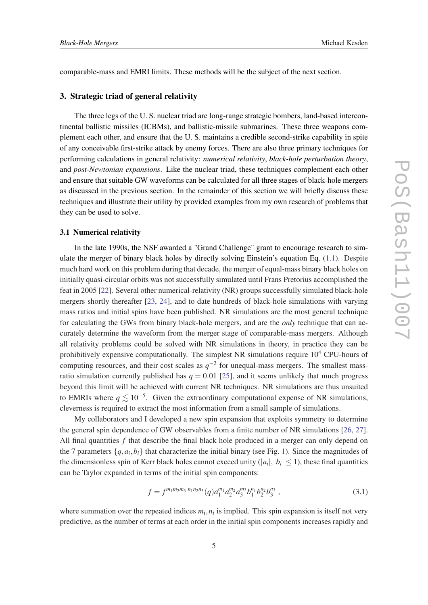comparable-mass and EMRI limits. These methods will be the subject of the next section.

#### 3. Strategic triad of general relativity

The three legs of the U. S. nuclear triad are long-range strategic bombers, land-based intercontinental ballistic missiles (ICBMs), and ballistic-missile submarines. These three weapons complement each other, and ensure that the U. S. maintains a credible second-strike capability in spite of any conceivable first-strike attack by enemy forces. There are also three primary techniques for performing calculations in general relativity: *numerical relativity*, *black-hole perturbation theory*, and *post-Newtonian expansions*. Like the nuclear triad, these techniques complement each other and ensure that suitable GW waveforms can be calculated for all three stages of black-hole mergers as discussed in the previous section. In the remainder of this section we will briefly discuss these techniques and illustrate their utility by provided examples from my own research of problems that they can be used to solve.

#### 3.1 Numerical relativity

In the late 1990s, the NSF awarded a "Grand Challenge" grant to encourage research to simulate the merger of binary black holes by directly solving Einstein's equation Eq. ([1.1\)](#page-1-0). Despite much hard work on this problem during that decade, the merger of equal-mass binary black holes on initially quasi-circular orbits was not successfully simulated until Frans Pretorius accomplished the feat in 2005 [\[22](#page-13-0)]. Several other numerical-relativity (NR) groups successfully simulated black-hole mergers shortly thereafter [[23,](#page-13-0) [24\]](#page-13-0), and to date hundreds of black-hole simulations with varying mass ratios and initial spins have been published. NR simulations are the most general technique for calculating the GWs from binary black-hole mergers, and are the *only* technique that can accurately determine the waveform from the merger stage of comparable-mass mergers. Although all relativity problems could be solved with NR simulations in theory, in practice they can be prohibitively expensive computationally. The simplest NR simulations require  $10<sup>4</sup>$  CPU-hours of computing resources, and their cost scales as  $q^{-2}$  for unequal-mass mergers. The smallest massratio simulation currently published has  $q = 0.01$  [[25\]](#page-13-0), and it seems unlikely that much progress beyond this limit will be achieved with current NR techniques. NR simulations are thus unsuited to EMRIs where  $q \lesssim 10^{-5}$ . Given the extraordinary computational expense of NR simulations, cleverness is required to extract the most information from a small sample of simulations.

My collaborators and I developed a new spin expansion that exploits symmetry to determine the general spin dependence of GW observables from a finite number of NR simulations [\[26](#page-13-0), [27\]](#page-13-0). All final quantities *f* that describe the final black hole produced in a merger can only depend on the 7 parameters  $\{q, a_i, b_i\}$  that characterize the initial binary (see Fig. [1](#page-2-0)). Since the magnitudes of the dimensionless spin of Kerr black holes cannot exceed unity  $(|a_i|, |b_i| \le 1)$ , these final quantities can be Taylor expanded in terms of the initial spin components:

$$
f = f^{m_1 m_2 m_3 |n_1 n_2 n_3} (q) a_1^{m_1} a_2^{m_2} a_3^{m_3} b_1^{n_1} b_2^{n_2} b_3^{n_3} , \qquad (3.1)
$$

where summation over the repeated indices  $m_i$ ,  $n_i$  is implied. This spin expansion is itself not very predictive, as the number of terms at each order in the initial spin components increases rapidly and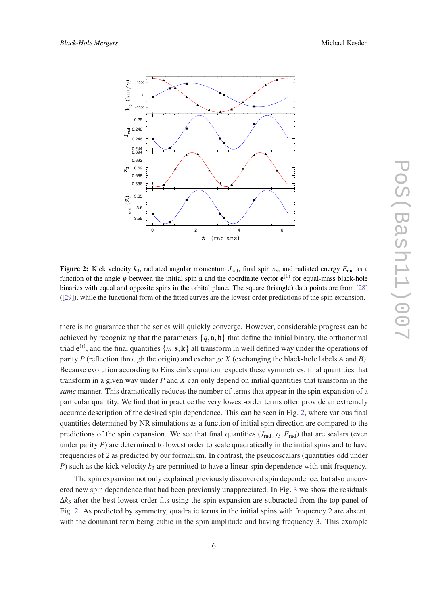

Figure 2: Kick velocity  $k_3$ , radiated angular momentum  $J_{\text{rad}}$ , final spin  $s_3$ , and radiated energy  $E_{\text{rad}}$  as a function of the angle  $\phi$  between the initial spin **a** and the coordinate vector  $e^{(1)}$  for equal-mass black-hole binaries with equal and opposite spins in the orbital plane. The square (triangle) data points are from [[28\]](#page-13-0) ([[29\]](#page-13-0)), while the functional form of the fitted curves are the lowest-order predictions of the spin expansion.

there is no guarantee that the series will quickly converge. However, considerable progress can be achieved by recognizing that the parameters  $\{q, \mathbf{a}, \mathbf{b}\}\$  that define the initial binary, the orthonormal triad  $e^{(i)}$ , and the final quantities  $\{m, s, k\}$  all transform in well defined way under the operations of parity *P* (reflection through the origin) and exchange *X* (exchanging the black-hole labels *A* and *B*). Because evolution according to Einstein's equation respects these symmetries, final quantities that transform in a given way under *P* and *X* can only depend on initial quantities that transform in the *same* manner. This dramatically reduces the number of terms that appear in the spin expansion of a particular quantity. We find that in practice the very lowest-order terms often provide an extremely accurate description of the desired spin dependence. This can be seen in Fig. 2, where various final quantities determined by NR simulations as a function of initial spin direction are compared to the predictions of the spin expansion. We see that final quantities  $(J_{rad}, s_3, E_{rad})$  that are scalars (even under parity *P*) are determined to lowest order to scale quadratically in the initial spins and to have frequencies of 2 as predicted by our formalism. In contrast, the pseudoscalars (quantities odd under *P*) such as the kick velocity  $k_3$  are permitted to have a linear spin dependence with unit frequency.

The spin expansion not only explained previously discovered spin dependence, but also uncovered new spin dependence that had been previously unappreciated. In Fig. [3](#page-6-0) we show the residuals  $\Delta k_3$  after the best lowest-order fits using the spin expansion are subtracted from the top panel of Fig. 2. As predicted by symmetry, quadratic terms in the initial spins with frequency 2 are absent, with the dominant term being cubic in the spin amplitude and having frequency 3. This example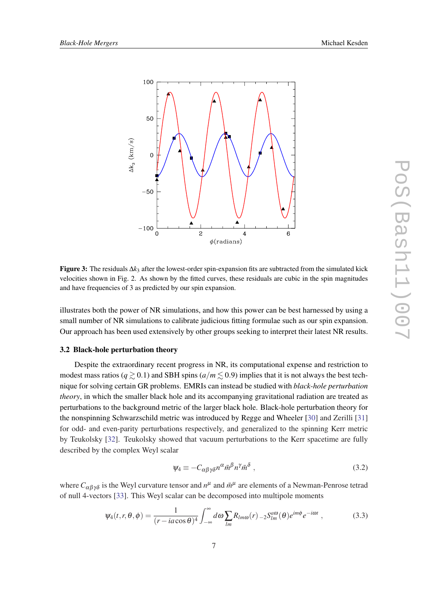<span id="page-6-0"></span>

Figure 3: The residuals ∆*k*<sup>3</sup> after the lowest-order spin-expansion fits are subtracted from the simulated kick velocities shown in Fig. 2. As shown by the fitted curves, these residuals are cubic in the spin magnitudes and have frequencies of 3 as predicted by our spin expansion.

illustrates both the power of NR simulations, and how this power can be best harnessed by using a small number of NR simulations to calibrate judicious fitting formulae such as our spin expansion. Our approach has been used extensively by other groups seeking to interpret their latest NR results.

#### 3.2 Black-hole perturbation theory

Despite the extraordinary recent progress in NR, its computational expense and restriction to modest mass ratios ( $q \ge 0.1$ ) and SBH spins ( $a/m \le 0.9$ ) implies that it is not always the best technique for solving certain GR problems. EMRIs can instead be studied with *black-hole perturbation theory*, in which the smaller black hole and its accompanying gravitational radiation are treated as perturbations to the background metric of the larger black hole. Black-hole perturbation theory for the nonspinning Schwarzschild metric was introduced by Regge and Wheeler [[30\]](#page-13-0) and Zerilli [\[31](#page-13-0)] for odd- and even-parity perturbations respectively, and generalized to the spinning Kerr metric by Teukolsky [[32\]](#page-13-0). Teukolsky showed that vacuum perturbations to the Kerr spacetime are fully described by the complex Weyl scalar

$$
\psi_4 \equiv -C_{\alpha\beta\gamma\delta}n^{\alpha}\bar{m}^{\beta}n^{\gamma}\bar{m}^{\delta} , \qquad (3.2)
$$

where  $C_{\alpha\beta\gamma\delta}$  is the Weyl curvature tensor and  $n^{\mu}$  and  $\bar{m}^{\mu}$  are elements of a Newman-Penrose tetrad of null 4-vectors [[33\]](#page-13-0). This Weyl scalar can be decomposed into multipole moments

$$
\psi_4(t,r,\theta,\phi) = \frac{1}{(r - i a \cos \theta)^4} \int_{-\infty}^{\infty} d\omega \sum_{lm} R_{lm\omega}(r) \, _2S_{lm}^{a\omega}(\theta) e^{im\phi} e^{-i\omega t} \,, \tag{3.3}
$$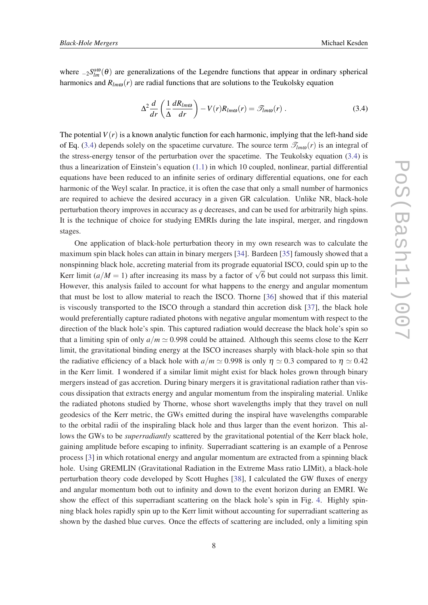where  $_{-2}S_{lm}^{a\omega}(\theta)$  are generalizations of the Legendre functions that appear in ordinary spherical harmonics and  $R_{lm0}(r)$  are radial functions that are solutions to the Teukolsky equation

$$
\Delta^2 \frac{d}{dr} \left( \frac{1}{\Delta} \frac{dR_{lm\omega}}{dr} \right) - V(r) R_{lm\omega}(r) = \mathcal{T}_{lm\omega}(r) . \qquad (3.4)
$$

The potential  $V(r)$  is a known analytic function for each harmonic, implying that the left-hand side of Eq. (3.4) depends solely on the spacetime curvature. The source term  $\mathcal{T}_{lm\omega}(r)$  is an integral of the stress-energy tensor of the perturbation over the spacetime. The Teukolsky equation  $(3.4)$  is thus a linearization of Einstein's equation ([1.1](#page-1-0)) in which 10 coupled, nonlinear, partial differential equations have been reduced to an infinite series of ordinary differential equations, one for each harmonic of the Weyl scalar. In practice, it is often the case that only a small number of harmonics are required to achieve the desired accuracy in a given GR calculation. Unlike NR, black-hole perturbation theory improves in accuracy as *q* decreases, and can be used for arbitrarily high spins. It is the technique of choice for studying EMRIs during the late inspiral, merger, and ringdown stages.

One application of black-hole perturbation theory in my own research was to calculate the maximum spin black holes can attain in binary mergers [\[34](#page-13-0)]. Bardeen [[35](#page-13-0)] famously showed that a nonspinning black hole, accreting material from its prograde equatorial ISCO, could spin up to the Referred limit ( $a/M = 1$ ) after increasing its mass by a factor of  $\sqrt{6}$  but could not surpass this limit. However, this analysis failed to account for what happens to the energy and angular momentum that must be lost to allow material to reach the ISCO. Thorne [\[36](#page-13-0)] showed that if this material is viscously transported to the ISCO through a standard thin accretion disk [\[37](#page-13-0)], the black hole would preferentially capture radiated photons with negative angular momentum with respect to the direction of the black hole's spin. This captured radiation would decrease the black hole's spin so that a limiting spin of only  $a/m \approx 0.998$  could be attained. Although this seems close to the Kerr limit, the gravitational binding energy at the ISCO increases sharply with black-hole spin so that the radiative efficiency of a black hole with  $a/m \approx 0.998$  is only  $\eta \approx 0.3$  compared to  $\eta \approx 0.42$ in the Kerr limit. I wondered if a similar limit might exist for black holes grown through binary mergers instead of gas accretion. During binary mergers it is gravitational radiation rather than viscous dissipation that extracts energy and angular momentum from the inspiraling material. Unlike the radiated photons studied by Thorne, whose short wavelengths imply that they travel on null geodesics of the Kerr metric, the GWs emitted during the inspiral have wavelengths comparable to the orbital radii of the inspiraling black hole and thus larger than the event horizon. This allows the GWs to be *superradiantly* scattered by the gravitational potential of the Kerr black hole, gaining amplitude before escaping to infinity. Superradiant scattering is an example of a Penrose process [\[3\]](#page-12-0) in which rotational energy and angular momentum are extracted from a spinning black hole. Using GREMLIN (Gravitational Radiation in the Extreme Mass ratio LIMit), a black-hole perturbation theory code developed by Scott Hughes [\[38](#page-13-0)], I calculated the GW fluxes of energy and angular momentum both out to infinity and down to the event horizon during an EMRI. We show the effect of this superradiant scattering on the black hole's spin in Fig. [4.](#page-8-0) Highly spinning black holes rapidly spin up to the Kerr limit without accounting for superradiant scattering as shown by the dashed blue curves. Once the effects of scattering are included, only a limiting spin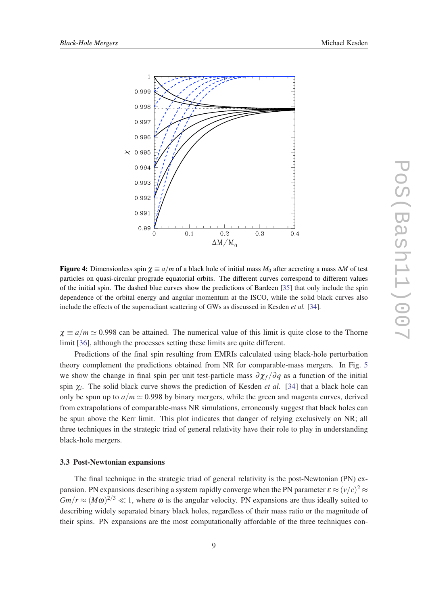<span id="page-8-0"></span>

Figure 4: Dimensionless spin  $\chi \equiv a/m$  of a black hole of initial mass  $M_0$  after accreting a mass  $\Delta M$  of test particles on quasi-circular prograde equatorial orbits. The different curves correspond to different values of the initial spin. The dashed blue curves show the predictions of Bardeen [\[35](#page-13-0)] that only include the spin dependence of the orbital energy and angular momentum at the ISCO, while the solid black curves also include the effects of the superradiant scattering of GWs as discussed in Kesden *et al.* [[34\]](#page-13-0).

 $\chi \equiv a/m \simeq 0.998$  can be attained. The numerical value of this limit is quite close to the Thorne limit [\[36](#page-13-0)], although the processes setting these limits are quite different.

Predictions of the final spin resulting from EMRIs calculated using black-hole perturbation theory complement the predictions obtained from NR for comparable-mass mergers. In Fig. [5](#page-9-0) we show the change in final spin per unit test-particle mass  $\partial \chi_f / \partial q$  as a function of the initial spin  $\chi$ <sup>*i*</sup>. The solid black curve shows the prediction of Kesden *et al.* [\[34](#page-13-0)] that a black hole can only be spun up to  $a/m \approx 0.998$  by binary mergers, while the green and magenta curves, derived from extrapolations of comparable-mass NR simulations, erroneously suggest that black holes can be spun above the Kerr limit. This plot indicates that danger of relying exclusively on NR; all three techniques in the strategic triad of general relativity have their role to play in understanding black-hole mergers.

#### 3.3 Post-Newtonian expansions

The final technique in the strategic triad of general relativity is the post-Newtonian (PN) expansion. PN expansions describing a system rapidly converge when the PN parameter  $\varepsilon \approx (v/c)^2 \approx$  $Gm/r \approx (M\omega)^{2/3} \ll 1$ , where  $\omega$  is the angular velocity. PN expansions are thus ideally suited to describing widely separated binary black holes, regardless of their mass ratio or the magnitude of their spins. PN expansions are the most computationally affordable of the three techniques con-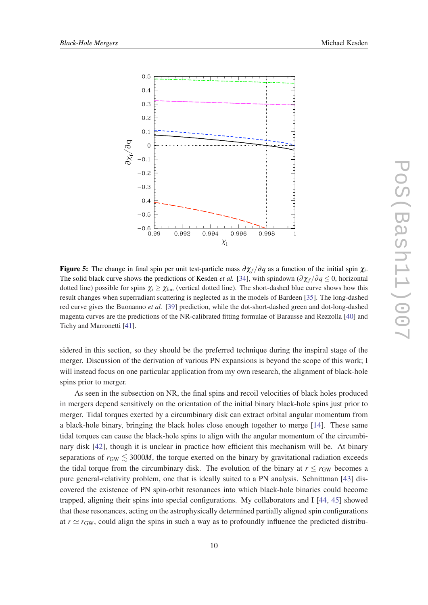<span id="page-9-0"></span>

Figure 5: The change in final spin per unit test-particle mass  $\partial \chi_f/\partial q$  as a function of the initial spin  $\chi_i$ . The solid black curve shows the predictions of Kesden *et al.* [[34\]](#page-13-0), with spindown ( $\partial \chi_f / \partial q \leq 0$ , horizontal dotted line) possible for spins  $\chi_i \geq \chi_{\text{lim}}$  (vertical dotted line). The short-dashed blue curve shows how this result changes when superradiant scattering is neglected as in the models of Bardeen [\[35](#page-13-0)]. The long-dashed red curve gives the Buonanno *et al.* [\[39](#page-13-0)] prediction, while the dot-short-dashed green and dot-long-dashed magenta curves are the predictions of the NR-calibrated fitting formulae of Barausse and Rezzolla [[40\]](#page-14-0) and Tichy and Marronetti [[41\]](#page-14-0).

sidered in this section, so they should be the preferred technique during the inspiral stage of the merger. Discussion of the derivation of various PN expansions is beyond the scope of this work; I will instead focus on one particular application from my own research, the alignment of black-hole spins prior to merger.

As seen in the subsection on NR, the final spins and recoil velocities of black holes produced in mergers depend sensitively on the orientation of the initial binary black-hole spins just prior to merger. Tidal torques exerted by a circumbinary disk can extract orbital angular momentum from a black-hole binary, bringing the black holes close enough together to merge [[14\]](#page-12-0). These same tidal torques can cause the black-hole spins to align with the angular momentum of the circumbinary disk [\[42\]](#page-14-0), though it is unclear in practice how efficient this mechanism will be. At binary separations of  $r_{\text{GW}} \lesssim 3000M$ , the torque exerted on the binary by gravitational radiation exceeds the tidal torque from the circumbinary disk. The evolution of the binary at  $r \le r_{GW}$  becomes a pure general-relativity problem, one that is ideally suited to a PN analysis. Schnittman [[43](#page-14-0)] discovered the existence of PN spin-orbit resonances into which black-hole binaries could become trapped, aligning their spins into special configurations. My collaborators and I [[44,](#page-14-0) [45\]](#page-14-0) showed that these resonances, acting on the astrophysically determined partially aligned spin configurations at  $r \simeq r_{\text{GW}}$ , could align the spins in such a way as to profoundly influence the predicted distribu-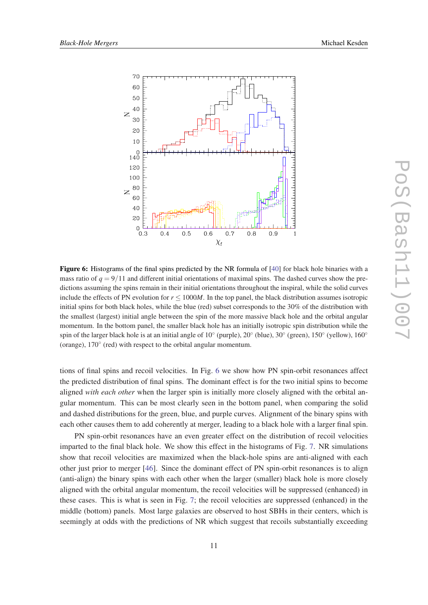

Figure 6: Histograms of the final spins predicted by the NR formula of [[40\]](#page-14-0) for black hole binaries with a mass ratio of  $q = 9/11$  and different initial orientations of maximal spins. The dashed curves show the predictions assuming the spins remain in their initial orientations throughout the inspiral, while the solid curves include the effects of PN evolution for  $r \le 1000M$ . In the top panel, the black distribution assumes isotropic initial spins for both black holes, while the blue (red) subset corresponds to the 30% of the distribution with the smallest (largest) initial angle between the spin of the more massive black hole and the orbital angular momentum. In the bottom panel, the smaller black hole has an initially isotropic spin distribution while the spin of the larger black hole is at an initial angle of 10° (purple), 20° (blue), 30° (green), 150° (yellow), 160° (orange), 170◦ (red) with respect to the orbital angular momentum.

tions of final spins and recoil velocities. In Fig. 6 we show how PN spin-orbit resonances affect the predicted distribution of final spins. The dominant effect is for the two initial spins to become aligned *with each other* when the larger spin is initially more closely aligned with the orbital angular momentum. This can be most clearly seen in the bottom panel, when comparing the solid and dashed distributions for the green, blue, and purple curves. Alignment of the binary spins with each other causes them to add coherently at merger, leading to a black hole with a larger final spin.

PN spin-orbit resonances have an even greater effect on the distribution of recoil velocities imparted to the final black hole. We show this effect in the histograms of Fig. [7.](#page-11-0) NR simulations show that recoil velocities are maximized when the black-hole spins are anti-aligned with each other just prior to merger [\[46](#page-14-0)]. Since the dominant effect of PN spin-orbit resonances is to align (anti-align) the binary spins with each other when the larger (smaller) black hole is more closely aligned with the orbital angular momentum, the recoil velocities will be suppressed (enhanced) in these cases. This is what is seen in Fig. [7;](#page-11-0) the recoil velocities are suppressed (enhanced) in the middle (bottom) panels. Most large galaxies are observed to host SBHs in their centers, which is seemingly at odds with the predictions of NR which suggest that recoils substantially exceeding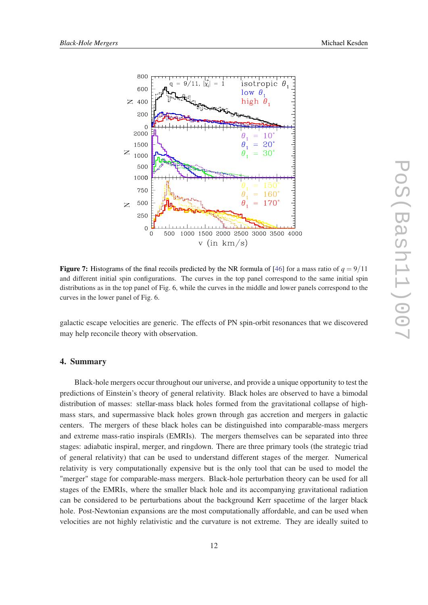<span id="page-11-0"></span>



**Figure 7:** Histograms of the final recoils predicted by the NR formula of [[46\]](#page-14-0) for a mass ratio of  $q = 9/11$ and different initial spin configurations. The curves in the top panel correspond to the same initial spin distributions as in the top panel of Fig. 6, while the curves in the middle and lower panels correspond to the curves in the lower panel of Fig. 6.

galactic escape velocities are generic. The effects of PN spin-orbit resonances that we discovered may help reconcile theory with observation.

### 4. Summary

Black-hole mergers occur throughout our universe, and provide a unique opportunity to test the predictions of Einstein's theory of general relativity. Black holes are observed to have a bimodal distribution of masses: stellar-mass black holes formed from the gravitational collapse of highmass stars, and supermassive black holes grown through gas accretion and mergers in galactic centers. The mergers of these black holes can be distinguished into comparable-mass mergers and extreme mass-ratio inspirals (EMRIs). The mergers themselves can be separated into three stages: adiabatic inspiral, merger, and ringdown. There are three primary tools (the strategic triad of general relativity) that can be used to understand different stages of the merger. Numerical relativity is very computationally expensive but is the only tool that can be used to model the "merger" stage for comparable-mass mergers. Black-hole perturbation theory can be used for all stages of the EMRIs, where the smaller black hole and its accompanying gravitational radiation can be considered to be perturbations about the background Kerr spacetime of the larger black hole. Post-Newtonian expansions are the most computationally affordable, and can be used when velocities are not highly relativistic and the curvature is not extreme. They are ideally suited to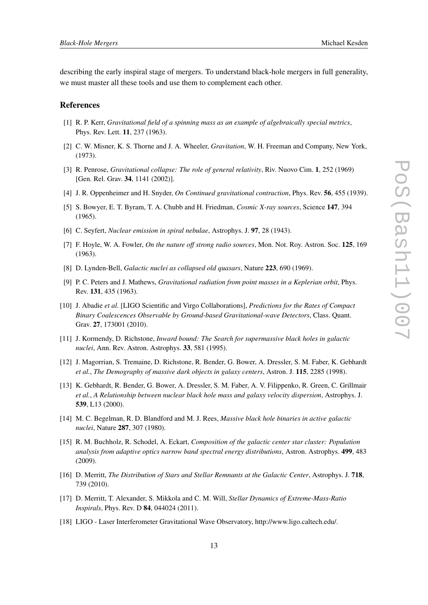<span id="page-12-0"></span>describing the early inspiral stage of mergers. To understand black-hole mergers in full generality, we must master all these tools and use them to complement each other.

#### References

- [1] R. P. Kerr, *Gravitational field of a spinning mass as an example of algebraically special metrics*, Phys. Rev. Lett. 11, 237 (1963).
- [2] C. W. Misner, K. S. Thorne and J. A. Wheeler, *Gravitation*, W. H. Freeman and Company, New York, (1973).
- [3] R. Penrose, *Gravitational collapse: The role of general relativity*, Riv. Nuovo Cim. 1, 252 (1969) [Gen. Rel. Grav. 34, 1141 (2002)].
- [4] J. R. Oppenheimer and H. Snyder, *On Continued gravitational contraction*, Phys. Rev. 56, 455 (1939).
- [5] S. Bowyer, E. T. Byram, T. A. Chubb and H. Friedman, *Cosmic X-ray sources*, Science 147, 394 (1965).
- [6] C. Seyfert, *Nuclear emission in spiral nebulae*, Astrophys. J. 97, 28 (1943).
- [7] F. Hoyle, W. A. Fowler, *On the nature off strong radio sources*, Mon. Not. Roy. Astron. Soc. 125, 169 (1963).
- [8] D. Lynden-Bell, *Galactic nuclei as collapsed old quasars*, Nature 223, 690 (1969).
- [9] P. C. Peters and J. Mathews, *Gravitational radiation from point masses in a Keplerian orbit*, Phys. Rev. 131, 435 (1963).
- [10] J. Abadie *et al.* [LIGO Scientific and Virgo Collaborations], *Predictions for the Rates of Compact Binary Coalescences Observable by Ground-based Gravitational-wave Detectors*, Class. Quant. Grav. 27, 173001 (2010).
- [11] J. Kormendy, D. Richstone, *Inward bound: The Search for supermassive black holes in galactic nuclei*, Ann. Rev. Astron. Astrophys. 33, 581 (1995).
- [12] J. Magorrian, S. Tremaine, D. Richstone, R. Bender, G. Bower, A. Dressler, S. M. Faber, K. Gebhardt *et al.*, *The Demography of massive dark objects in galaxy centers*, Astron. J. 115, 2285 (1998).
- [13] K. Gebhardt, R. Bender, G. Bower, A. Dressler, S. M. Faber, A. V. Filippenko, R. Green, C. Grillmair *et al.*, *A Relationship between nuclear black hole mass and galaxy velocity dispersion*, Astrophys. J. 539, L13 (2000).
- [14] M. C. Begelman, R. D. Blandford and M. J. Rees, *Massive black hole binaries in active galactic nuclei*, Nature 287, 307 (1980).
- [15] R. M. Buchholz, R. Schodel, A. Eckart, *Composition of the galactic center star cluster: Population analysis from adaptive optics narrow band spectral energy distributions*, Astron. Astrophys. 499, 483 (2009).
- [16] D. Merritt, *The Distribution of Stars and Stellar Remnants at the Galactic Center*, Astrophys. J. 718, 739 (2010).
- [17] D. Merritt, T. Alexander, S. Mikkola and C. M. Will, *Stellar Dynamics of Extreme-Mass-Ratio Inspirals*, Phys. Rev. D 84, 044024 (2011).
- [18] LIGO Laser Interferometer Gravitational Wave Observatory, http://www.ligo.caltech.edu/.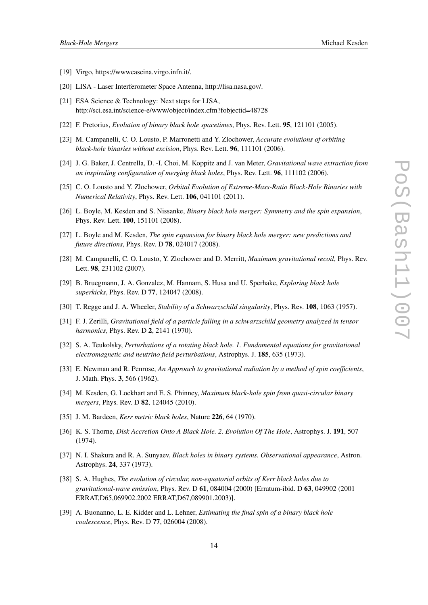- <span id="page-13-0"></span>[19] Virgo, https://wwwcascina.virgo.infn.it/.
- [20] LISA Laser Interferometer Space Antenna, http://lisa.nasa.gov/.
- [21] ESA Science & Technology: Next steps for LISA, http://sci.esa.int/science-e/www/object/index.cfm?fobjectid=48728
- [22] F. Pretorius, *Evolution of binary black hole spacetimes*, Phys. Rev. Lett. 95, 121101 (2005).
- [23] M. Campanelli, C. O. Lousto, P. Marronetti and Y. Zlochower, *Accurate evolutions of orbiting black-hole binaries without excision*, Phys. Rev. Lett. 96, 111101 (2006).
- [24] J. G. Baker, J. Centrella, D. -I. Choi, M. Koppitz and J. van Meter, *Gravitational wave extraction from an inspiraling configuration of merging black holes*, Phys. Rev. Lett. 96, 111102 (2006).
- [25] C. O. Lousto and Y. Zlochower, *Orbital Evolution of Extreme-Mass-Ratio Black-Hole Binaries with Numerical Relativity*, Phys. Rev. Lett. 106, 041101 (2011).
- [26] L. Boyle, M. Kesden and S. Nissanke, *Binary black hole merger: Symmetry and the spin expansion*, Phys. Rev. Lett. 100, 151101 (2008).
- [27] L. Boyle and M. Kesden, *The spin expansion for binary black hole merger: new predictions and future directions*, Phys. Rev. D 78, 024017 (2008).
- [28] M. Campanelli, C. O. Lousto, Y. Zlochower and D. Merritt, *Maximum gravitational recoil*, Phys. Rev. Lett. 98, 231102 (2007).
- [29] B. Bruegmann, J. A. Gonzalez, M. Hannam, S. Husa and U. Sperhake, *Exploring black hole superkicks*, Phys. Rev. D 77, 124047 (2008).
- [30] T. Regge and J. A. Wheeler, *Stability of a Schwarzschild singularity*, Phys. Rev. 108, 1063 (1957).
- [31] F. J. Zerilli, *Gravitational field of a particle falling in a schwarzschild geometry analyzed in tensor harmonics*, Phys. Rev. D 2, 2141 (1970).
- [32] S. A. Teukolsky, *Perturbations of a rotating black hole. 1. Fundamental equations for gravitational electromagnetic and neutrino field perturbations*, Astrophys. J. 185, 635 (1973).
- [33] E. Newman and R. Penrose, *An Approach to gravitational radiation by a method of spin coefficients*, J. Math. Phys. 3, 566 (1962).
- [34] M. Kesden, G. Lockhart and E. S. Phinney, *Maximum black-hole spin from quasi-circular binary mergers*, Phys. Rev. D 82, 124045 (2010).
- [35] J. M. Bardeen, *Kerr metric black holes*, Nature 226, 64 (1970).
- [36] K. S. Thorne, *Disk Accretion Onto A Black Hole. 2. Evolution Of The Hole*, Astrophys. J. 191, 507 (1974).
- [37] N. I. Shakura and R. A. Sunyaev, *Black holes in binary systems. Observational appearance*, Astron. Astrophys. 24, 337 (1973).
- [38] S. A. Hughes, *The evolution of circular, non-equatorial orbits of Kerr black holes due to gravitational-wave emission*, Phys. Rev. D 61, 084004 (2000) [Erratum-ibid. D 63, 049902 (2001 ERRAT,D65,069902.2002 ERRAT,D67,089901.2003)].
- [39] A. Buonanno, L. E. Kidder and L. Lehner, *Estimating the final spin of a binary black hole coalescence*, Phys. Rev. D 77, 026004 (2008).